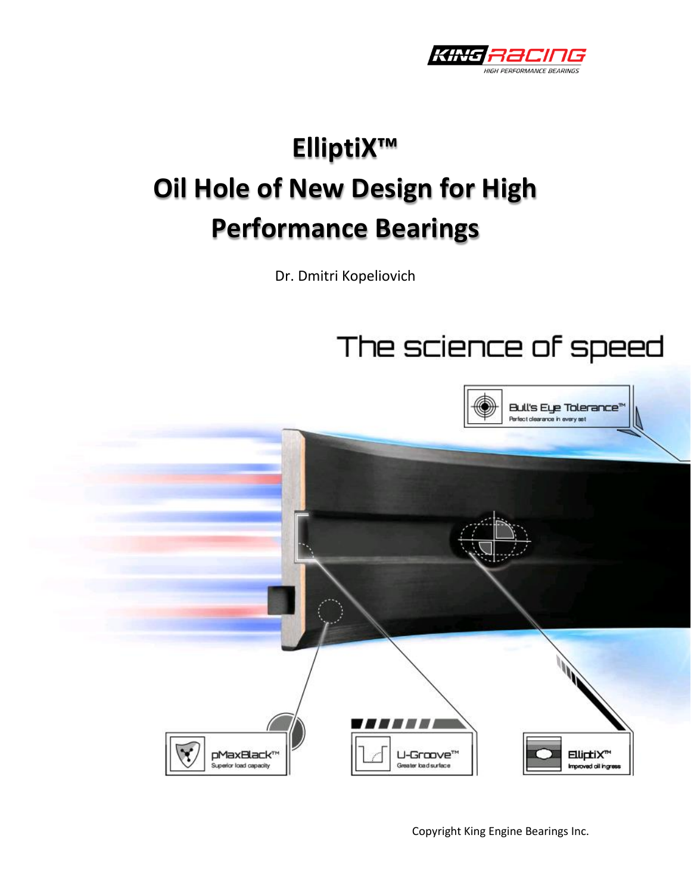

# **ElliptiX™ Oil Hole of New Design for High Performance Bearings**

Dr. Dmitri Kopeliovich





Copyright King Engine Bearings Inc.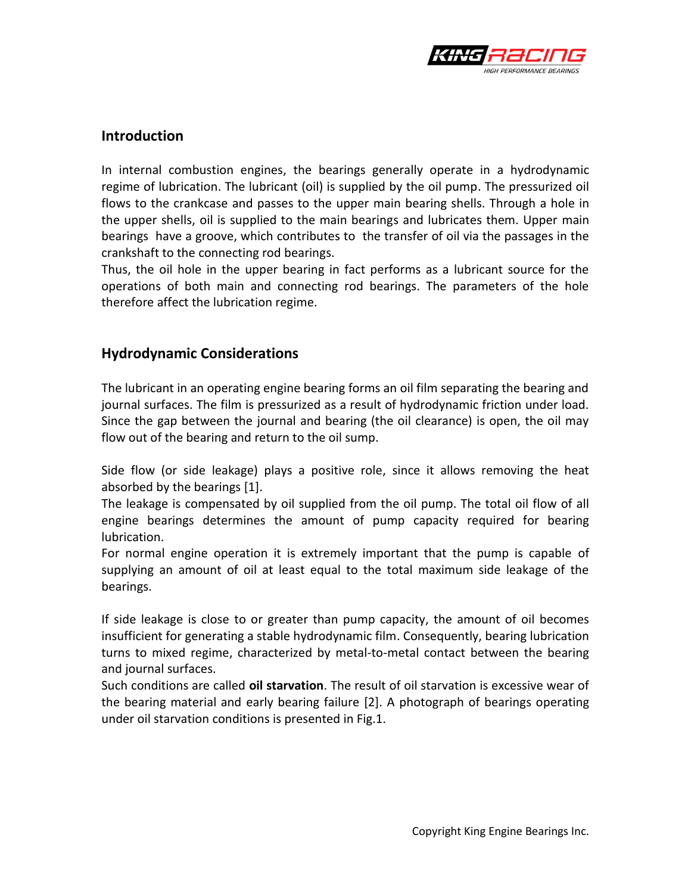

#### **Introduction**

In internal combustion engines, the bearings generally operate in a hydrodynamic regime of lubrication. The lubricant (oil) is supplied by the oil pump. The pressurized oil flows to the crankcase and passes to the upper main bearing shells. Through a hole in the upper shells, oil is supplied to the main bearings and lubricates them. Upper main bearings have a groove, which contributes to the transfer of oil via the passages in the crankshaft to the connecting rod bearings.

Thus, the oil hole in the upper bearing in fact performs as a lubricant source for the operations of both main and connecting rod bearings. The parameters of the hole therefore affect the lubrication regime.

## **Hydrodynamic Considerations**

The lubricant in an operating engine bearing forms an oil film separating the bearing and journal surfaces. The film is pressurized as a result of hydrodynamic friction under load. Since the gap between the journal and bearing (the oil clearance) is open, the oil may flow out of the bearing and return to the oil sump.

Side flow (or side leakage) plays a positive role, since it allows removing the heat absorbed by the bearings [1].

The leakage is compensated by oil supplied from the oil pump. The total oil flow of all engine bearings determines the amount of pump capacity required for bearing lubrication.

For normal engine operation it is extremely important that the pump is capable of supplying an amount of oil at least equal to the total maximum side leakage of the bearings.

If side leakage is close to or greater than pump capacity, the amount of oil becomes insufficient for generating a stable hydrodynamic film. Consequently, bearing lubrication turns to mixed regime, characterized by metal-to-metal contact between the bearing and journal surfaces.

Such conditions are called **oil starvation**. The result of oil starvation is excessive wear of the bearing material and early bearing failure [2]. A photograph of bearings operating under oil starvation conditions is presented in Fig.1.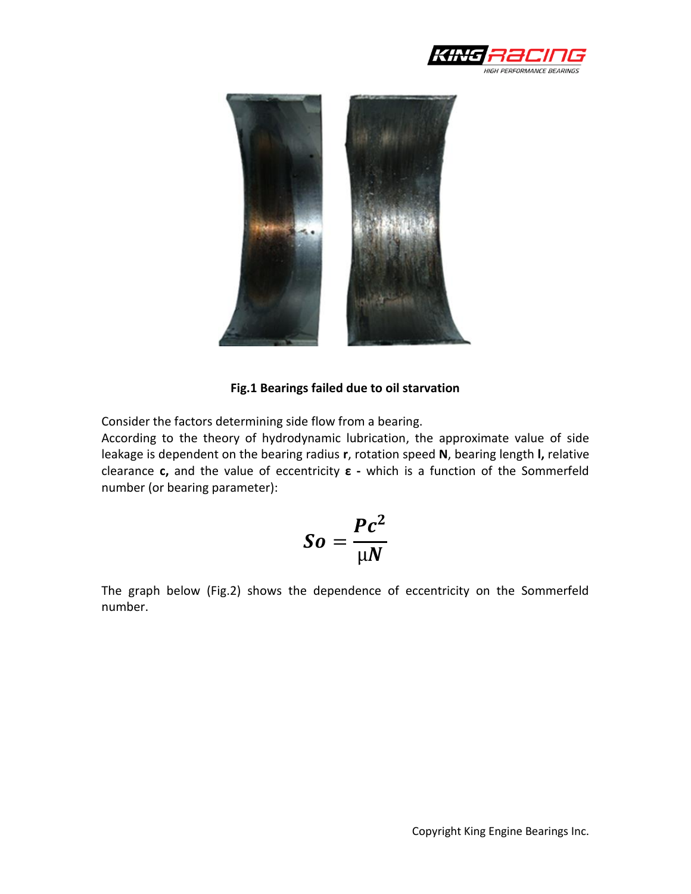



#### **Fig.1 Bearings failed due to oil starvation**

Consider the factors determining side flow from a bearing.

According to the theory of hydrodynamic lubrication, the approximate value of side leakage is dependent on the bearing radius **r**, rotation speed **N**, bearing length **l,** relative clearance **c,** and the value of eccentricity **ε -** which is a function of the Sommerfeld number (or bearing parameter):

$$
So=\frac{Pc^2}{\mu N}
$$

The graph below (Fig.2) shows the dependence of eccentricity on the Sommerfeld number.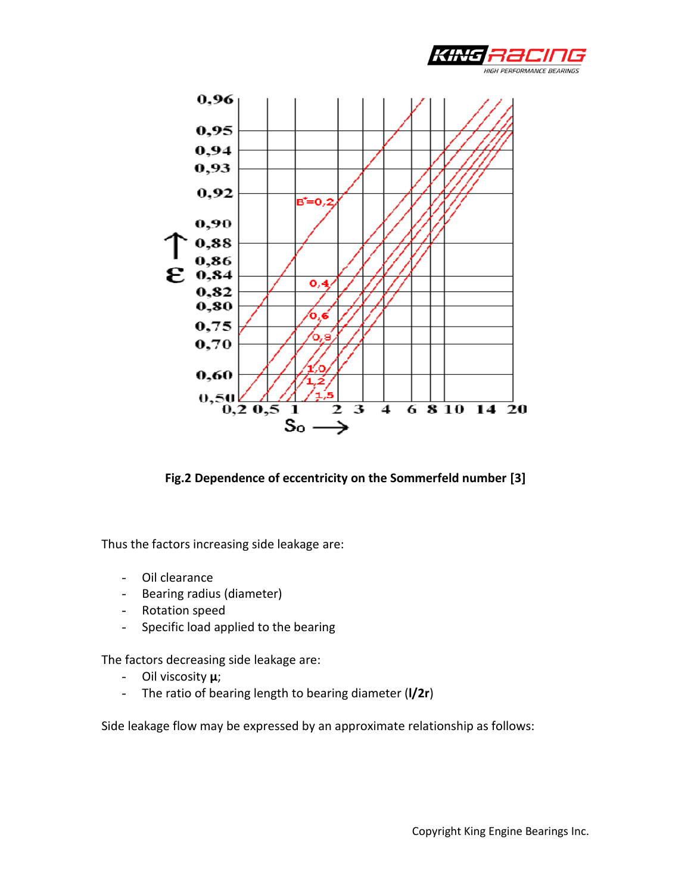



**Fig.2 Dependence of eccentricity on the Sommerfeld number [3]**

Thus the factors increasing side leakage are:

- Oil clearance
- Bearing radius (diameter)
- Rotation speed
- Specific load applied to the bearing

The factors decreasing side leakage are:

- Oil viscosity **µ**;
- The ratio of bearing length to bearing diameter (**l/2r**)

Side leakage flow may be expressed by an approximate relationship as follows: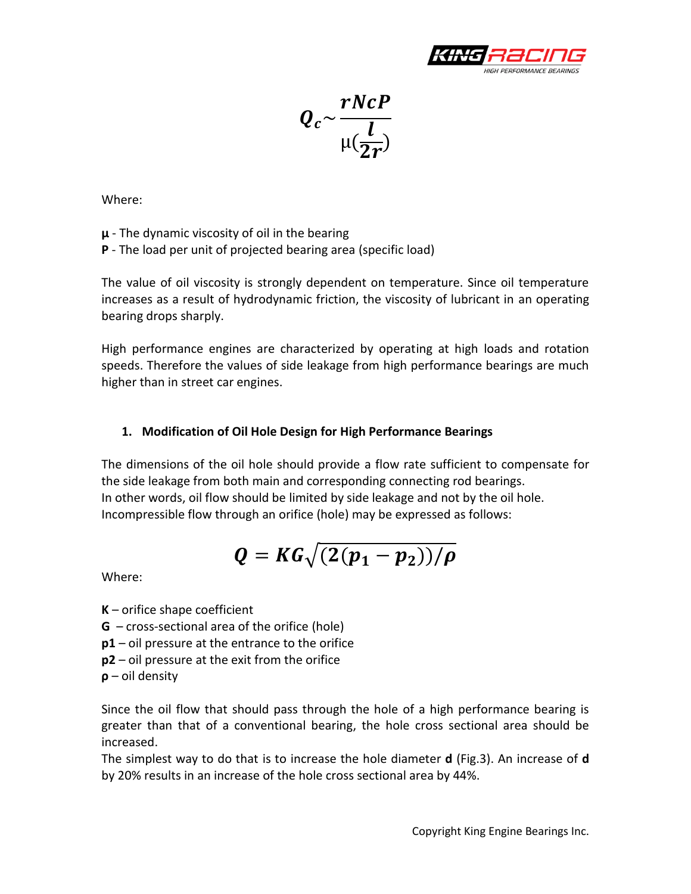

 $\boldsymbol{Q}$  $\boldsymbol{r}$  $\mu$  $\boldsymbol{l}$  $\overline{2}$ 

Where:

**µ** - The dynamic viscosity of oil in the bearing

**P** - The load per unit of projected bearing area (specific load)

The value of oil viscosity is strongly dependent on temperature. Since oil temperature increases as a result of hydrodynamic friction, the viscosity of lubricant in an operating bearing drops sharply.

High performance engines are characterized by operating at high loads and rotation speeds. Therefore the values of side leakage from high performance bearings are much higher than in street car engines.

## **1. Modification of Oil Hole Design for High Performance Bearings**

The dimensions of the oil hole should provide a flow rate sufficient to compensate for the side leakage from both main and corresponding connecting rod bearings. In other words, oil flow should be limited by side leakage and not by the oil hole. Incompressible flow through an orifice (hole) may be expressed as follows:

$$
Q=KG\sqrt{(2(p_1-p_2))/\rho}
$$

Where:

**K** – orifice shape coefficient

**G** – cross-sectional area of the orifice (hole)

**p1** – oil pressure at the entrance to the orifice

- **p2** oil pressure at the exit from the orifice
- **ρ** oil density

Since the oil flow that should pass through the hole of a high performance bearing is greater than that of a conventional bearing, the hole cross sectional area should be increased.

The simplest way to do that is to increase the hole diameter **d** (Fig.3). An increase of **d** by 20% results in an increase of the hole cross sectional area by 44%.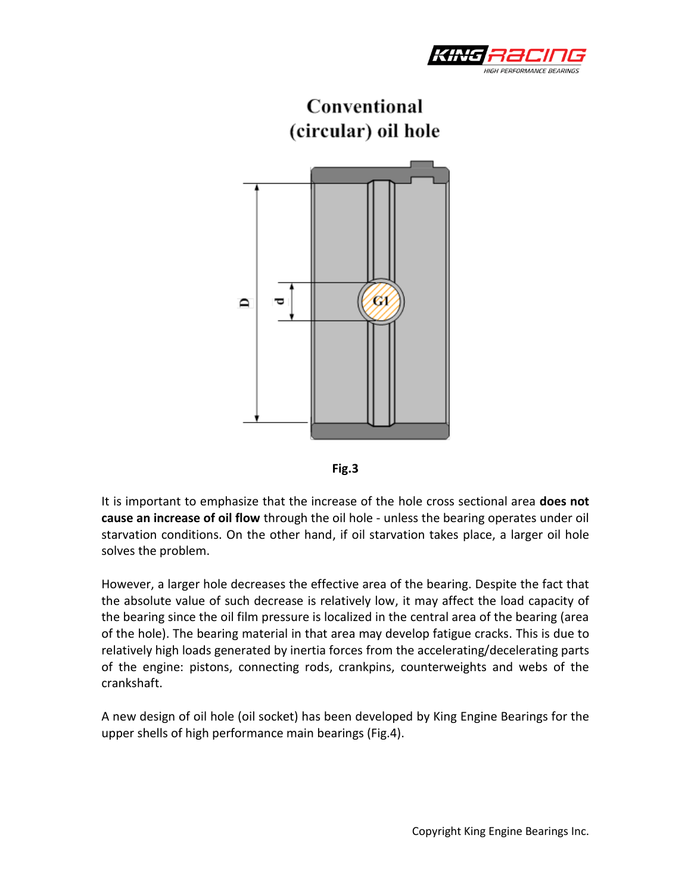





It is important to emphasize that the increase of the hole cross sectional area **does not cause an increase of oil flow** through the oil hole - unless the bearing operates under oil starvation conditions. On the other hand, if oil starvation takes place, a larger oil hole solves the problem.

However, a larger hole decreases the effective area of the bearing. Despite the fact that the absolute value of such decrease is relatively low, it may affect the load capacity of the bearing since the oil film pressure is localized in the central area of the bearing (area of the hole). The bearing material in that area may develop fatigue cracks. This is due to relatively high loads generated by inertia forces from the accelerating/decelerating parts of the engine: pistons, connecting rods, crankpins, counterweights and webs of the crankshaft.

A new design of oil hole (oil socket) has been developed by King Engine Bearings for the upper shells of high performance main bearings (Fig.4).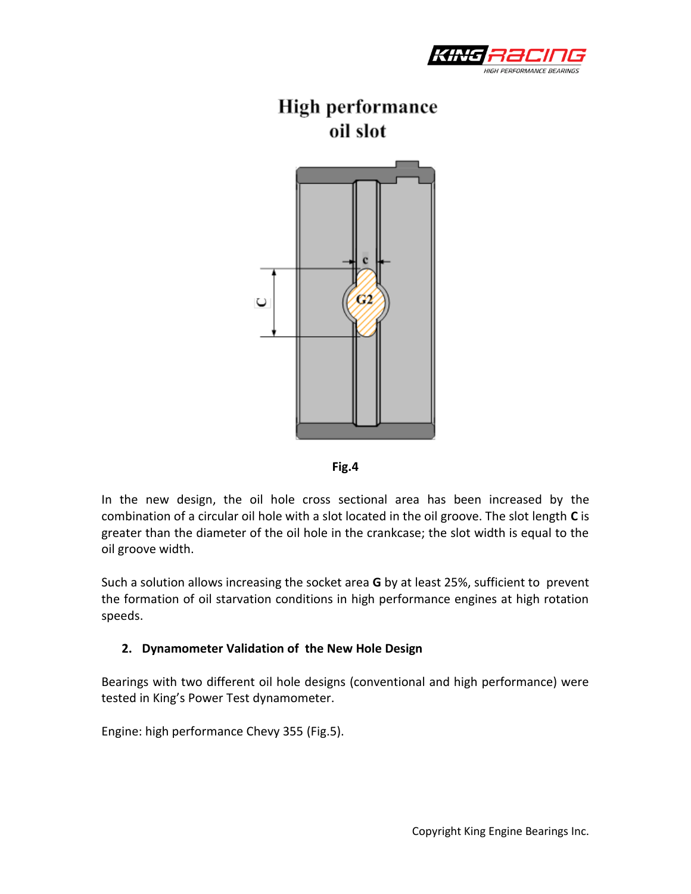

# **High performance** oil slot





In the new design, the oil hole cross sectional area has been increased by the combination of a circular oil hole with a slot located in the oil groove. The slot length **C** is greater than the diameter of the oil hole in the crankcase; the slot width is equal to the oil groove width.

Such a solution allows increasing the socket area **G** by at least 25%, sufficient to prevent the formation of oil starvation conditions in high performance engines at high rotation speeds.

#### **2. Dynamometer Validation of the New Hole Design**

Bearings with two different oil hole designs (conventional and high performance) were tested in King's Power Test dynamometer.

Engine: high performance Chevy 355 (Fig.5).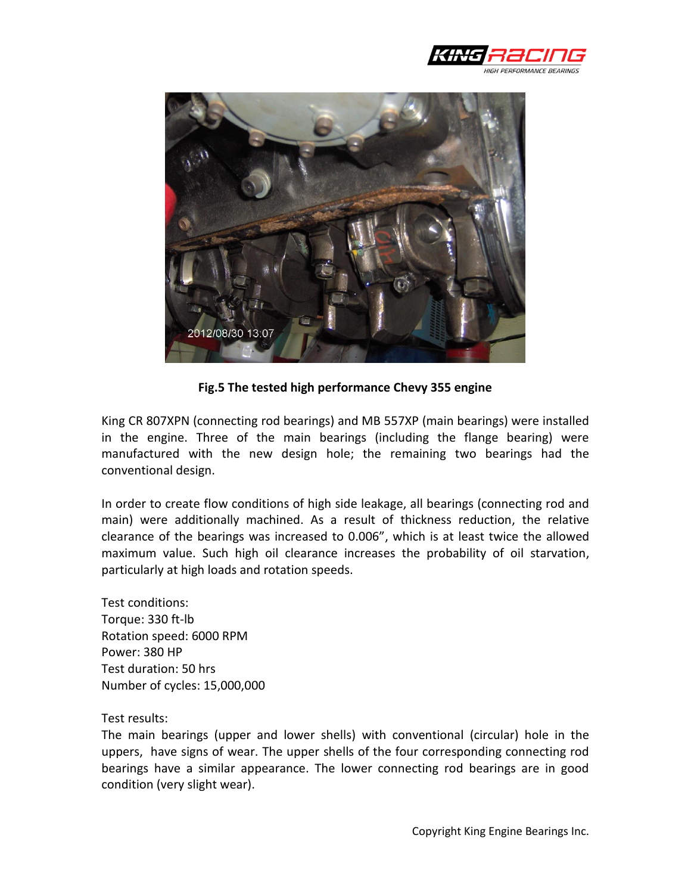



**Fig.5 The tested high performance Chevy 355 engine**

King CR 807XPN (connecting rod bearings) and MB 557XP (main bearings) were installed in the engine. Three of the main bearings (including the flange bearing) were manufactured with the new design hole; the remaining two bearings had the conventional design.

In order to create flow conditions of high side leakage, all bearings (connecting rod and main) were additionally machined. As a result of thickness reduction, the relative clearance of the bearings was increased to 0.006", which is at least twice the allowed maximum value. Such high oil clearance increases the probability of oil starvation, particularly at high loads and rotation speeds.

Test conditions: Torque: 330 ft-lb Rotation speed: 6000 RPM Power: 380 HP Test duration: 50 hrs Number of cycles: 15,000,000

Test results:

The main bearings (upper and lower shells) with conventional (circular) hole in the uppers, have signs of wear. The upper shells of the four corresponding connecting rod bearings have a similar appearance. The lower connecting rod bearings are in good condition (very slight wear).